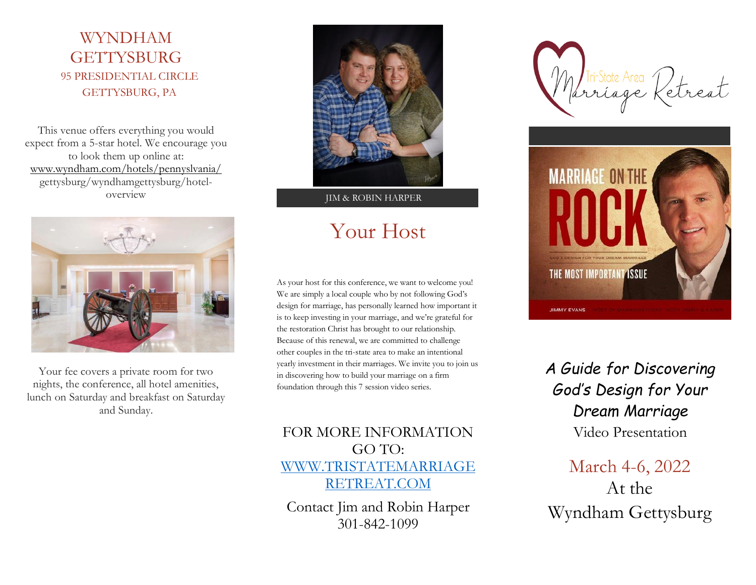## WYNDHAM **GETTYSBURG** 95 PRESIDENTIAL CIRCLE GETTYSBURG, PA

This venue offers everything you would expect from a 5-star hotel. We encourage you to look them up online at: [www.wyndham.com/hotels/pennyslvania/](http://www.wyndham.com/hotels/pennyslvania/) gettysburg/wyndhamgettysburg/hoteloverview



Your fee covers a private room for two nights, the conference, all hotel amenities, lunch on Saturday and breakfast on Saturday and Sunday.



JIM & ROBIN HARPER

# Your Host

As your host for this conference, we want to welcome you! We are simply a local couple who by not following God's design for marriage, has personally learned how important it is to keep investing in your marriage, and we're grateful for the restoration Christ has brought to our relationship. Because of this renewal, we are committed to challenge other couples in the tri-state area to make an intentional yearly investment in their marriages. We invite you to join us in discovering how to build your marriage on a firm foundation through this 7 session video series.

## FOR MORE INFORMATION GO TO: [WWW.TRISTATEMARRIAGE](http://www.tristatemarriageretreat.com/) [RETREAT.COM](http://www.tristatemarriageretreat.com/)

Contact Jim and Robin Harper 301-842-1099

rriage k



# *A Guide for Discovering God's Design for Your Dream Marriage*

Video Presentation

## March 4-6, 2022 At the Wyndham Gettysburg